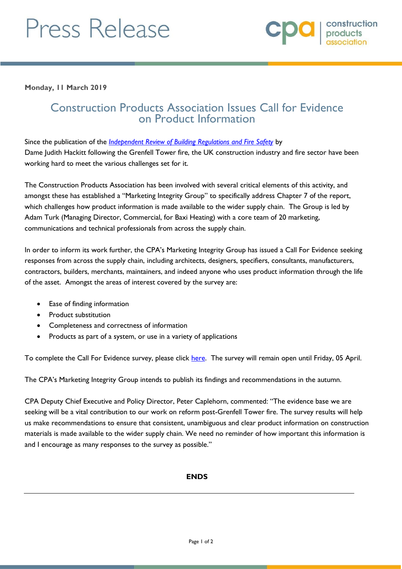# Press Release

**Monday, 11 March 2019**

## Construction Products Association Issues Call for Evidence on Product Information

Since the publication of the *[Independent Review of Building Regulations and Fire Safety](https://www.gov.uk/government/publications/independent-review-of-building-regulations-and-fire-safety-final-report)* by Dame Judith Hackitt following the Grenfell Tower fire, the UK construction industry and fire sector have been working hard to meet the various challenges set for it.

The Construction Products Association has been involved with several critical elements of this activity, and amongst these has established a "Marketing Integrity Group" to specifically address Chapter 7 of the report, which challenges how product information is made available to the wider supply chain. The Group is led by Adam Turk (Managing Director, Commercial, for Baxi Heating) with a core team of 20 marketing, communications and technical professionals from across the supply chain.

In order to inform its work further, the CPA's Marketing Integrity Group has issued a Call For Evidence seeking responses from across the supply chain, including architects, designers, specifiers, consultants, manufacturers, contractors, builders, merchants, maintainers, and indeed anyone who uses product information through the life of the asset. Amongst the areas of interest covered by the survey are:

- Ease of finding information
- Product substitution
- Completeness and correctness of information
- Products as part of a system, or use in a variety of applications

To complete the Call For Evidence survey, please click [here.](http://surveys.ribaenterprises.com/wh/s.asp?k=155197798963) The survey will remain open until Friday, 05 April.

The CPA's Marketing Integrity Group intends to publish its findings and recommendations in the autumn.

CPA Deputy Chief Executive and Policy Director, Peter Caplehorn, commented: "The evidence base we are seeking will be a vital contribution to our work on reform post-Grenfell Tower fire. The survey results will help us make recommendations to ensure that consistent, unambiguous and clear product information on construction materials is made available to the wider supply chain. We need no reminder of how important this information is and I encourage as many responses to the survey as possible."

### **ENDS**